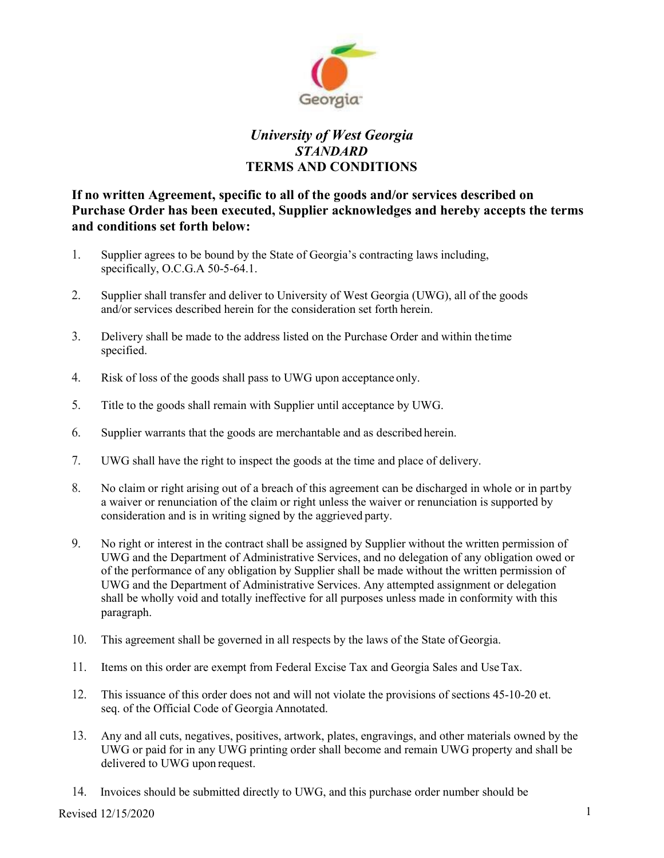

## *University of West Georgia STANDARD* **TERMS AND CONDITIONS**

**If no written Agreement, specific to all of the goods and/or services described on Purchase Order has been executed, Supplier acknowledges and hereby accepts the terms and conditions set forth below:**

- 1. Supplier agrees to be bound by the State of Georgia's contracting laws including, specifically, O.C.G.A 50-5-64.1.
- 2. Supplier shall transfer and deliver to University of West Georgia (UWG), all of the goods and/or services described herein for the consideration set forth herein.
- 3. Delivery shall be made to the address listed on the Purchase Order and within thetime specified.
- 4. Risk of loss of the goods shall pass to UWG upon acceptance only.
- 5. Title to the goods shall remain with Supplier until acceptance by UWG.
- 6. Supplier warrants that the goods are merchantable and as described herein.
- 7. UWG shall have the right to inspect the goods at the time and place of delivery.
- 8. No claim or right arising out of a breach of this agreement can be discharged in whole or in partby a waiver or renunciation of the claim or right unless the waiver or renunciation is supported by consideration and is in writing signed by the aggrieved party.
- 9. No right or interest in the contract shall be assigned by Supplier without the written permission of UWG and the Department of Administrative Services, and no delegation of any obligation owed or of the performance of any obligation by Supplier shall be made without the written permission of UWG and the Department of Administrative Services. Any attempted assignment or delegation shall be wholly void and totally ineffective for all purposes unless made in conformity with this paragraph.
- 10. This agreement shall be governed in all respects by the laws of the State ofGeorgia.
- 11. Items on this order are exempt from Federal Excise Tax and Georgia Sales and UseTax.
- 12. This issuance of this order does not and will not violate the provisions of sections 45-10-20 et. seq. of the Official Code of Georgia Annotated.
- 13. Any and all cuts, negatives, positives, artwork, plates, engravings, and other materials owned by the UWG or paid for in any UWG printing order shall become and remain UWG property and shall be delivered to UWG upon request.
- 14. Invoices should be submitted directly to UWG, and this purchase order number should be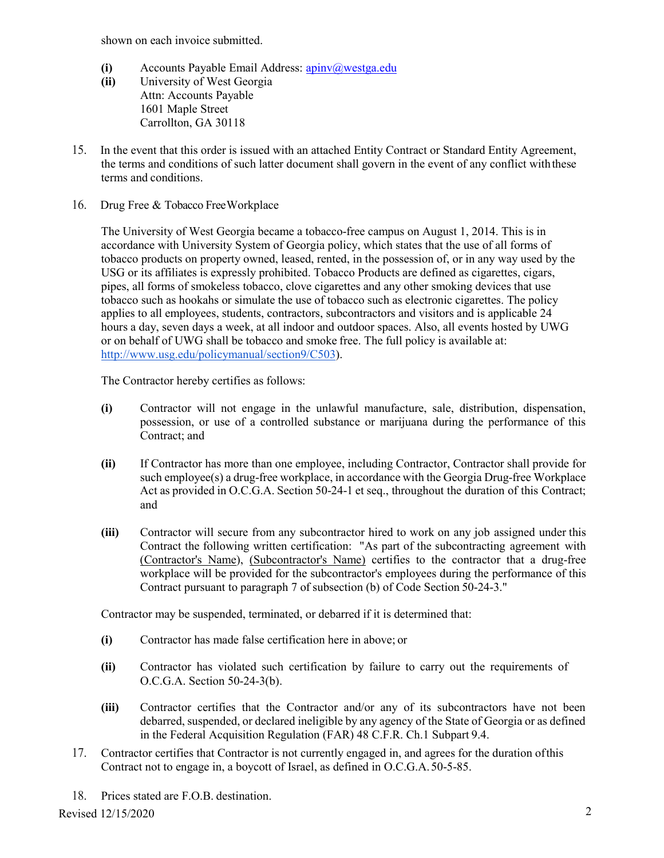shown on each invoice submitted.

- **(i)** Accounts Payable Email Address: **apiny**@westga.edu
- **(ii)** University of West Georgia Attn: Accounts Payable 1601 Maple Street Carrollton, GA 30118
- 15. In the event that this order is issued with an attached Entity Contract or Standard Entity Agreement, the terms and conditions of such latter document shall govern in the event of any conflict withthese terms and conditions.
- 16. Drug Free & Tobacco FreeWorkplace

The University of West Georgia became a tobacco-free campus on August 1, 2014. This is in accordance with University System of Georgia policy, which states that the use of all forms of tobacco products on property owned, leased, rented, in the possession of, or in any way used by the USG or its affiliates is expressly prohibited. Tobacco Products are defined as cigarettes, cigars, pipes, all forms of smokeless tobacco, clove cigarettes and any other smoking devices that use tobacco such as hookahs or simulate the use of tobacco such as electronic cigarettes. The policy applies to all employees, students, contractors, subcontractors and visitors and is applicable 24 hours a day, seven days a week, at all indoor and outdoor spaces. Also, all events hosted by UWG or on behalf of UWG shall be tobacco and smoke free. The full policy is available at: [http://www.usg.edu/policymanual/section9/C503\)](http://www.usg.edu/policymanual/section9/C503).

The Contractor hereby certifies as follows:

- **(i)** Contractor will not engage in the unlawful manufacture, sale, distribution, dispensation, possession, or use of a controlled substance or marijuana during the performance of this Contract; and
- **(ii)** If Contractor has more than one employee, including Contractor, Contractor shall provide for such employee(s) a drug-free workplace, in accordance with the Georgia Drug-free Workplace Act as provided in O.C.G.A. Section 50-24-1 et seq., throughout the duration of this Contract; and
- **(iii)** Contractor will secure from any subcontractor hired to work on any job assigned under this Contract the following written certification: "As part of the subcontracting agreement with (Contractor's Name), (Subcontractor's Name) certifies to the contractor that a drug-free workplace will be provided for the subcontractor's employees during the performance of this Contract pursuant to paragraph 7 of subsection (b) of Code Section 50-24-3."

Contractor may be suspended, terminated, or debarred if it is determined that:

- **(i)** Contractor has made false certification here in above; or
- **(ii)** Contractor has violated such certification by failure to carry out the requirements of O.C.G.A. Section 50-24-3(b).
- **(iii)** Contractor certifies that the Contractor and/or any of its subcontractors have not been debarred, suspended, or declared ineligible by any agency of the State of Georgia or as defined in the Federal Acquisition Regulation (FAR) 48 C.F.R. Ch.1 Subpart 9.4.
- 17. Contractor certifies that Contractor is not currently engaged in, and agrees for the duration ofthis Contract not to engage in, a boycott of Israel, as defined in O.C.G.A.50-5-85.
- 18. Prices stated are F.O.B. destination.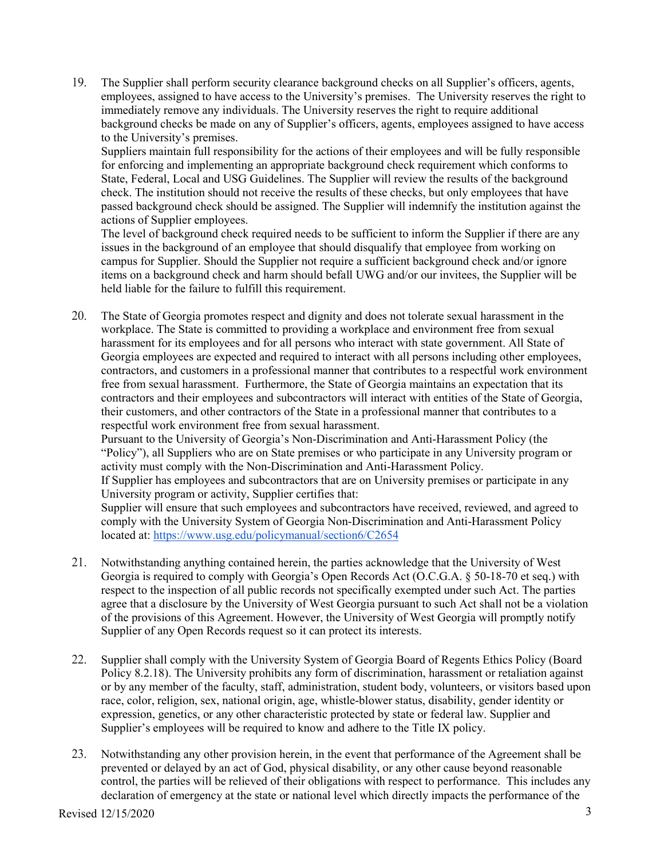19. The Supplier shall perform security clearance background checks on all Supplier's officers, agents, employees, assigned to have access to the University's premises. The University reserves the right to immediately remove any individuals. The University reserves the right to require additional background checks be made on any of Supplier's officers, agents, employees assigned to have access to the University's premises.

Suppliers maintain full responsibility for the actions of their employees and will be fully responsible for enforcing and implementing an appropriate background check requirement which conforms to State, Federal, Local and USG Guidelines. The Supplier will review the results of the background check. The institution should not receive the results of these checks, but only employees that have passed background check should be assigned. The Supplier will indemnify the institution against the actions of Supplier employees.

The level of background check required needs to be sufficient to inform the Supplier if there are any issues in the background of an employee that should disqualify that employee from working on campus for Supplier. Should the Supplier not require a sufficient background check and/or ignore items on a background check and harm should befall UWG and/or our invitees, the Supplier will be held liable for the failure to fulfill this requirement.

20. The State of Georgia promotes respect and dignity and does not tolerate sexual harassment in the workplace. The State is committed to providing a workplace and environment free from sexual harassment for its employees and for all persons who interact with state government. All State of Georgia employees are expected and required to interact with all persons including other employees, contractors, and customers in a professional manner that contributes to a respectful work environment free from sexual harassment. Furthermore, the State of Georgia maintains an expectation that its contractors and their employees and subcontractors will interact with entities of the State of Georgia, their customers, and other contractors of the State in a professional manner that contributes to a respectful work environment free from sexual harassment.

Pursuant to the University of Georgia's Non-Discrimination and Anti-Harassment Policy (the "Policy"), all Suppliers who are on State premises or who participate in any University program or activity must comply with the Non-Discrimination and Anti-Harassment Policy. If Supplier has employees and subcontractors that are on University premises or participate in any University program or activity, Supplier certifies that: Supplier will ensure that such employees and subcontractors have received, reviewed, and agreed to comply with the University System of Georgia Non-Discrimination and Anti-Harassment Policy located at:<https://www.usg.edu/policymanual/section6/C2654>

- 21. Notwithstanding anything contained herein, the parties acknowledge that the University of West Georgia is required to comply with Georgia's Open Records Act (O.C.G.A. § 50-18-70 et seq.) with respect to the inspection of all public records not specifically exempted under such Act. The parties agree that a disclosure by the University of West Georgia pursuant to such Act shall not be a violation of the provisions of this Agreement. However, the University of West Georgia will promptly notify Supplier of any Open Records request so it can protect its interests.
- 22. Supplier shall comply with the University System of Georgia Board of Regents Ethics Policy (Board Policy 8.2.18). The University prohibits any form of discrimination, harassment or retaliation against or by any member of the faculty, staff, administration, student body, volunteers, or visitors based upon race, color, religion, sex, national origin, age, whistle-blower status, disability, gender identity or expression, genetics, or any other characteristic protected by state or federal law. Supplier and Supplier's employees will be required to know and adhere to the Title IX policy.
- 23. Notwithstanding any other provision herein, in the event that performance of the Agreement shall be prevented or delayed by an act of God, physical disability, or any other cause beyond reasonable control, the parties will be relieved of their obligations with respect to performance. This includes any declaration of emergency at the state or national level which directly impacts the performance of the